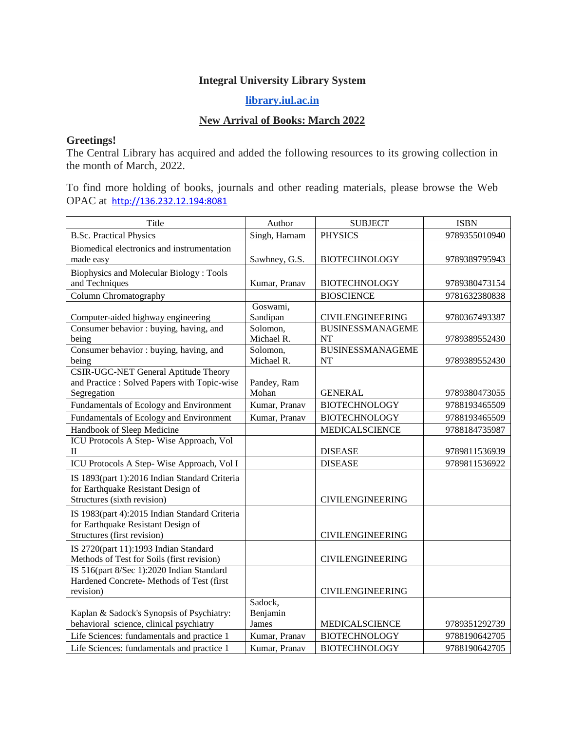## **Integral University Library System**

## **[library.iul.ac.in](http://library.iul.ac.in/)**

## **New Arrival of Books: March 2022**

## **Greetings!**

The Central Library has acquired and added the following resources to its growing collection in the month of March, 2022.

To find more holding of books, journals and other reading materials, please browse the Web OPAC at [http://136.232.12.194:8081](http://136.232.12.194:8081/)

| Title                                                       | Author               | <b>SUBJECT</b>          | <b>ISBN</b>   |
|-------------------------------------------------------------|----------------------|-------------------------|---------------|
| <b>B.Sc. Practical Physics</b>                              | Singh, Harnam        | <b>PHYSICS</b>          | 9789355010940 |
| Biomedical electronics and instrumentation                  |                      |                         |               |
| made easy                                                   | Sawhney, G.S.        | <b>BIOTECHNOLOGY</b>    | 9789389795943 |
| <b>Biophysics and Molecular Biology: Tools</b>              |                      |                         |               |
| and Techniques                                              | Kumar, Pranav        | <b>BIOTECHNOLOGY</b>    | 9789380473154 |
| Column Chromatography                                       |                      | <b>BIOSCIENCE</b>       | 9781632380838 |
|                                                             | Goswami,             |                         |               |
| Computer-aided highway engineering                          | Sandipan             | <b>CIVILENGINEERING</b> | 9780367493387 |
| Consumer behavior : buying, having, and                     | Solomon,             | <b>BUSINESSMANAGEME</b> |               |
| being                                                       | Michael R.           | NT                      | 9789389552430 |
| Consumer behavior : buying, having, and                     | Solomon,             | <b>BUSINESSMANAGEME</b> |               |
| being                                                       | Michael R.           | <b>NT</b>               | 9789389552430 |
| <b>CSIR-UGC-NET General Aptitude Theory</b>                 |                      |                         |               |
| and Practice : Solved Papers with Topic-wise<br>Segregation | Pandey, Ram<br>Mohan | <b>GENERAL</b>          | 9789380473055 |
|                                                             | Kumar, Pranav        | <b>BIOTECHNOLOGY</b>    |               |
| Fundamentals of Ecology and Environment                     |                      |                         | 9788193465509 |
| Fundamentals of Ecology and Environment                     | Kumar, Pranav        | <b>BIOTECHNOLOGY</b>    | 9788193465509 |
| Handbook of Sleep Medicine                                  |                      | <b>MEDICALSCIENCE</b>   | 9788184735987 |
| ICU Protocols A Step-Wise Approach, Vol<br>П                |                      | <b>DISEASE</b>          | 9789811536939 |
| ICU Protocols A Step-Wise Approach, Vol I                   |                      | <b>DISEASE</b>          | 9789811536922 |
| IS 1893(part 1):2016 Indian Standard Criteria               |                      |                         |               |
| for Earthquake Resistant Design of                          |                      |                         |               |
| Structures (sixth revision)                                 |                      | <b>CIVILENGINEERING</b> |               |
| IS 1983(part 4):2015 Indian Standard Criteria               |                      |                         |               |
| for Earthquake Resistant Design of                          |                      |                         |               |
| Structures (first revision)                                 |                      | <b>CIVILENGINEERING</b> |               |
| IS 2720(part 11):1993 Indian Standard                       |                      |                         |               |
| Methods of Test for Soils (first revision)                  |                      | <b>CIVILENGINEERING</b> |               |
| IS 516(part 8/Sec 1):2020 Indian Standard                   |                      |                         |               |
| Hardened Concrete- Methods of Test (first                   |                      |                         |               |
| revision)                                                   |                      | <b>CIVILENGINEERING</b> |               |
|                                                             | Sadock,              |                         |               |
| Kaplan & Sadock's Synopsis of Psychiatry:                   | Benjamin             |                         |               |
| behavioral science, clinical psychiatry                     | James                | MEDICALSCIENCE          | 9789351292739 |
| Life Sciences: fundamentals and practice 1                  | Kumar, Pranav        | <b>BIOTECHNOLOGY</b>    | 9788190642705 |
| Life Sciences: fundamentals and practice 1                  | Kumar, Pranav        | <b>BIOTECHNOLOGY</b>    | 9788190642705 |